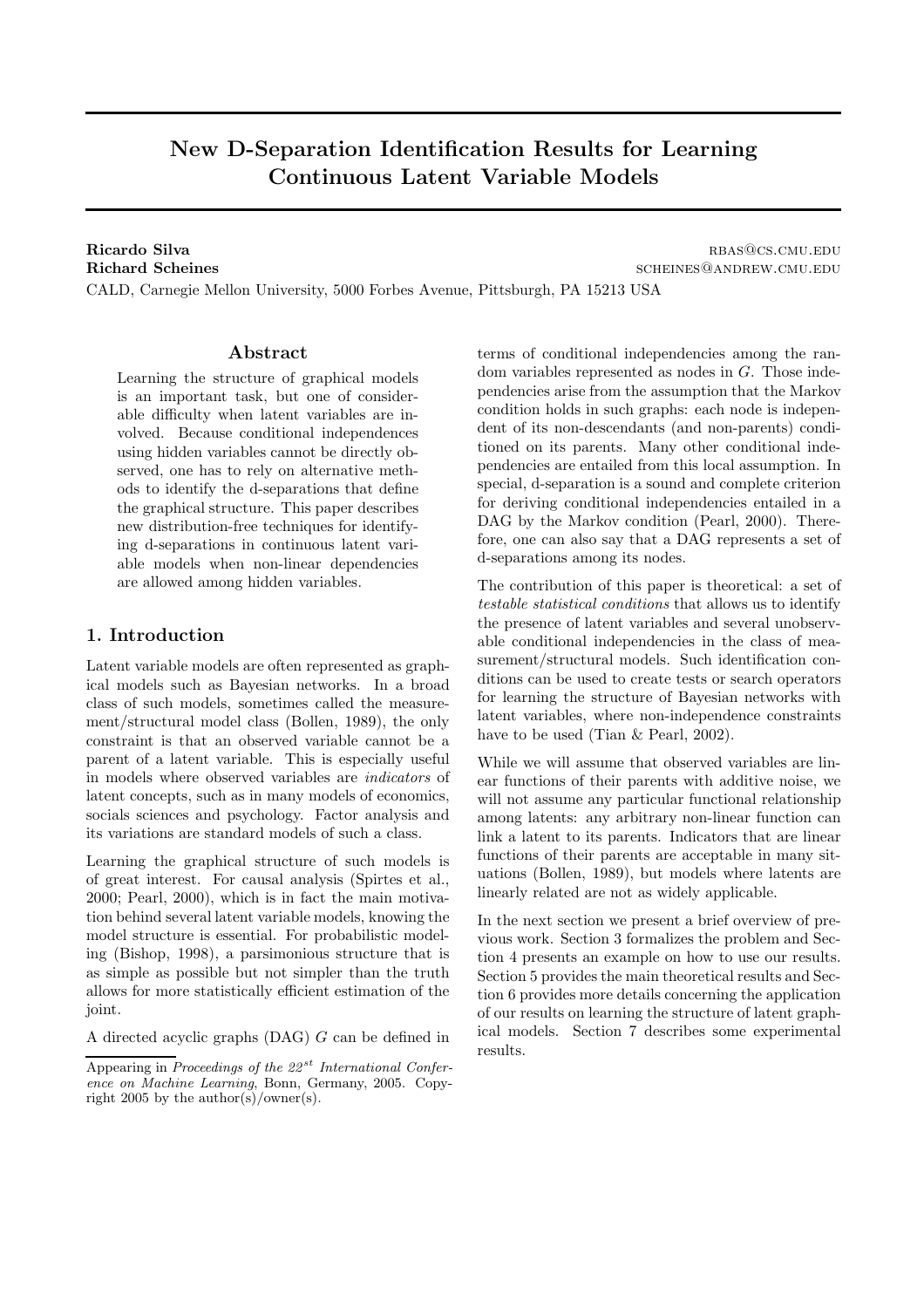# New D-Separation Identification Results for Learning Continuous Latent Variable Models

Ricardo Silva rbase results and the contract of the contract of the results of the results of the results of the results of the results of the results of the results of the results of the results of the results of the resu Richard Scheines scheines scheiner scheiner scheiner scheiner scheiner scheiner scheiner scheiner scheiner scheiner scheiner scheiner scheiner scheiner scheiner scheiner scheiner scheiner scheiner scheiner scheiner scheine CALD, Carnegie Mellon University, 5000 Forbes Avenue, Pittsburgh, PA 15213 USA

#### Abstract

Learning the structure of graphical models is an important task, but one of considerable difficulty when latent variables are involved. Because conditional independences using hidden variables cannot be directly observed, one has to rely on alternative methods to identify the d-separations that define the graphical structure. This paper describes new distribution-free techniques for identifying d-separations in continuous latent variable models when non-linear dependencies are allowed among hidden variables.

# 1. Introduction

Latent variable models are often represented as graphical models such as Bayesian networks. In a broad class of such models, sometimes called the measurement/structural model class (Bollen, 1989), the only constraint is that an observed variable cannot be a parent of a latent variable. This is especially useful in models where observed variables are indicators of latent concepts, such as in many models of economics, socials sciences and psychology. Factor analysis and its variations are standard models of such a class.

Learning the graphical structure of such models is of great interest. For causal analysis (Spirtes et al., 2000; Pearl, 2000), which is in fact the main motivation behind several latent variable models, knowing the model structure is essential. For probabilistic modeling (Bishop, 1998), a parsimonious structure that is as simple as possible but not simpler than the truth allows for more statistically efficient estimation of the joint.

A directed acyclic graphs (DAG) G can be defined in

terms of conditional independencies among the random variables represented as nodes in G. Those independencies arise from the assumption that the Markov condition holds in such graphs: each node is independent of its non-descendants (and non-parents) conditioned on its parents. Many other conditional independencies are entailed from this local assumption. In special, d-separation is a sound and complete criterion for deriving conditional independencies entailed in a DAG by the Markov condition (Pearl, 2000). Therefore, one can also say that a DAG represents a set of d-separations among its nodes.

The contribution of this paper is theoretical: a set of testable statistical conditions that allows us to identify the presence of latent variables and several unobservable conditional independencies in the class of measurement/structural models. Such identification conditions can be used to create tests or search operators for learning the structure of Bayesian networks with latent variables, where non-independence constraints have to be used (Tian & Pearl, 2002).

While we will assume that observed variables are linear functions of their parents with additive noise, we will not assume any particular functional relationship among latents: any arbitrary non-linear function can link a latent to its parents. Indicators that are linear functions of their parents are acceptable in many situations (Bollen, 1989), but models where latents are linearly related are not as widely applicable.

In the next section we present a brief overview of previous work. Section 3 formalizes the problem and Section 4 presents an example on how to use our results. Section 5 provides the main theoretical results and Section 6 provides more details concerning the application of our results on learning the structure of latent graphical models. Section 7 describes some experimental results.

Appearing in Proceedings of the  $22^{st}$  International Conference on Machine Learning, Bonn, Germany, 2005. Copyright 2005 by the author(s)/owner(s).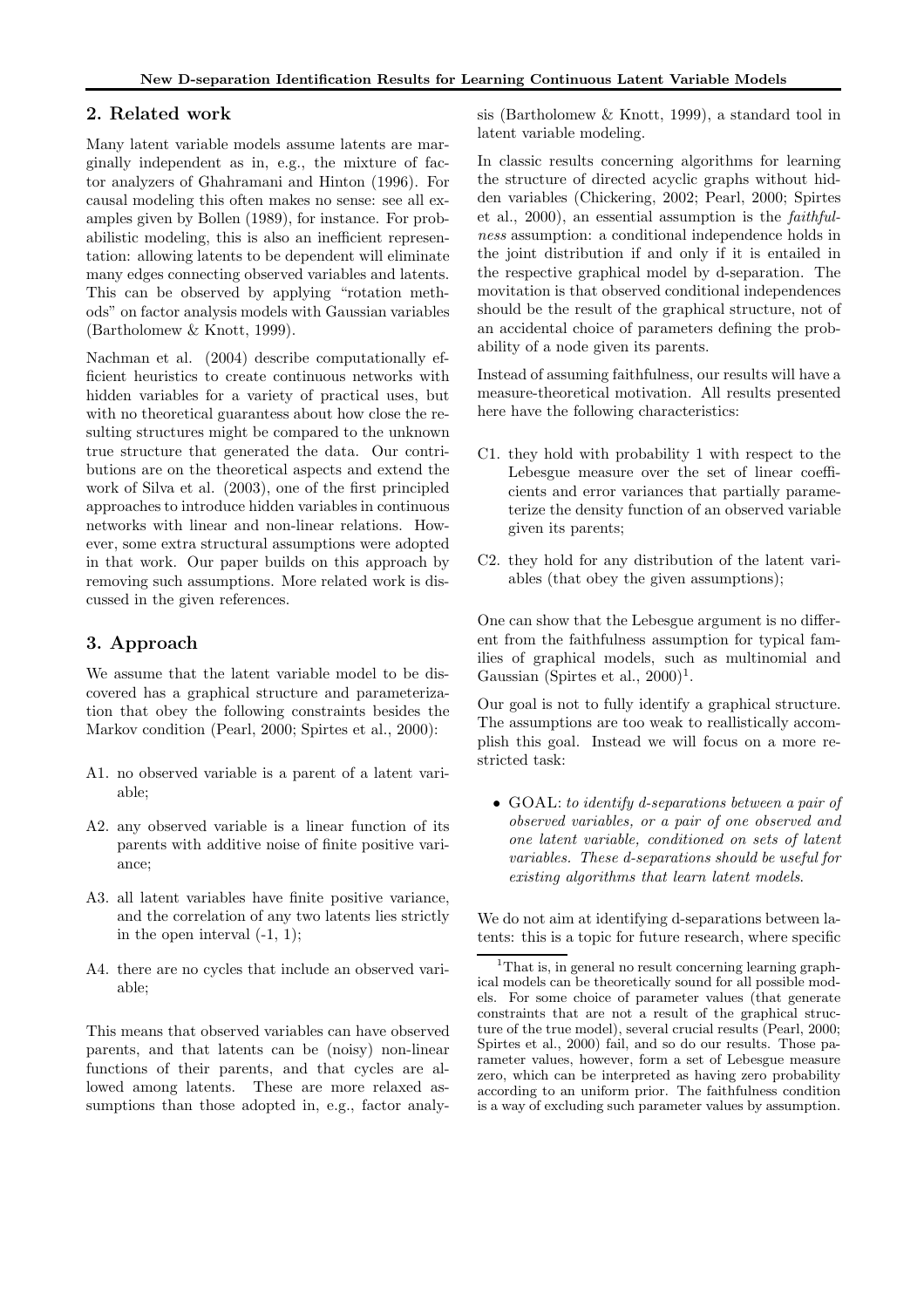### 2. Related work

Many latent variable models assume latents are marginally independent as in, e.g., the mixture of factor analyzers of Ghahramani and Hinton (1996). For causal modeling this often makes no sense: see all examples given by Bollen (1989), for instance. For probabilistic modeling, this is also an inefficient representation: allowing latents to be dependent will eliminate many edges connecting observed variables and latents. This can be observed by applying "rotation methods" on factor analysis models with Gaussian variables (Bartholomew & Knott, 1999).

Nachman et al. (2004) describe computationally efficient heuristics to create continuous networks with hidden variables for a variety of practical uses, but with no theoretical guarantess about how close the resulting structures might be compared to the unknown true structure that generated the data. Our contributions are on the theoretical aspects and extend the work of Silva et al. (2003), one of the first principled approaches to introduce hidden variables in continuous networks with linear and non-linear relations. However, some extra structural assumptions were adopted in that work. Our paper builds on this approach by removing such assumptions. More related work is discussed in the given references.

# 3. Approach

We assume that the latent variable model to be discovered has a graphical structure and parameterization that obey the following constraints besides the Markov condition (Pearl, 2000; Spirtes et al., 2000):

- A1. no observed variable is a parent of a latent variable;
- A2. any observed variable is a linear function of its parents with additive noise of finite positive variance;
- A3. all latent variables have finite positive variance, and the correlation of any two latents lies strictly in the open interval  $(-1, 1)$ ;
- A4. there are no cycles that include an observed variable;

This means that observed variables can have observed parents, and that latents can be (noisy) non-linear functions of their parents, and that cycles are allowed among latents. These are more relaxed assumptions than those adopted in, e.g., factor analysis (Bartholomew & Knott, 1999), a standard tool in latent variable modeling.

In classic results concerning algorithms for learning the structure of directed acyclic graphs without hidden variables (Chickering, 2002; Pearl, 2000; Spirtes et al., 2000), an essential assumption is the faithfulness assumption: a conditional independence holds in the joint distribution if and only if it is entailed in the respective graphical model by d-separation. The movitation is that observed conditional independences should be the result of the graphical structure, not of an accidental choice of parameters defining the probability of a node given its parents.

Instead of assuming faithfulness, our results will have a measure-theoretical motivation. All results presented here have the following characteristics:

- C1. they hold with probability 1 with respect to the Lebesgue measure over the set of linear coefficients and error variances that partially parameterize the density function of an observed variable given its parents;
- C2. they hold for any distribution of the latent variables (that obey the given assumptions);

One can show that the Lebesgue argument is no different from the faithfulness assumption for typical families of graphical models, such as multinomial and Gaussian (Spirtes et al.,  $2000)^1$ .

Our goal is not to fully identify a graphical structure. The assumptions are too weak to reallistically accomplish this goal. Instead we will focus on a more restricted task:

• GOAL: to identify d-separations between a pair of observed variables, or a pair of one observed and one latent variable, conditioned on sets of latent variables. These d-separations should be useful for existing algorithms that learn latent models.

We do not aim at identifying d-separations between latents: this is a topic for future research, where specific

<sup>&</sup>lt;sup>1</sup>That is, in general no result concerning learning graphical models can be theoretically sound for all possible models. For some choice of parameter values (that generate constraints that are not a result of the graphical structure of the true model), several crucial results (Pearl, 2000; Spirtes et al., 2000) fail, and so do our results. Those parameter values, however, form a set of Lebesgue measure zero, which can be interpreted as having zero probability according to an uniform prior. The faithfulness condition is a way of excluding such parameter values by assumption.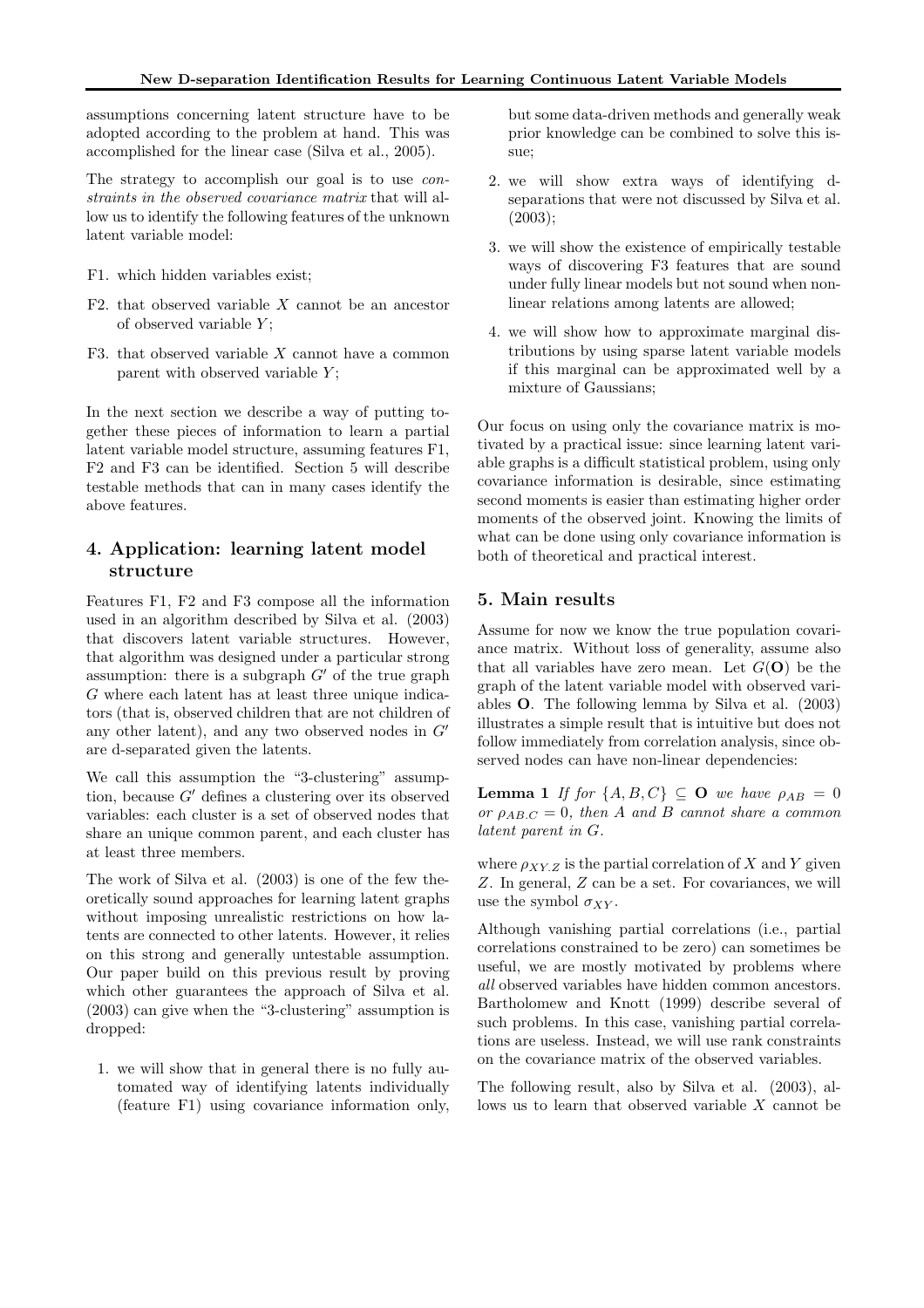assumptions concerning latent structure have to be adopted according to the problem at hand. This was accomplished for the linear case (Silva et al., 2005).

The strategy to accomplish our goal is to use *con*straints in the observed covariance matrix that will allow us to identify the following features of the unknown latent variable model:

- F1. which hidden variables exist;
- F2. that observed variable  $X$  cannot be an ancestor of observed variable  $Y$ :
- F3. that observed variable  $X$  cannot have a common parent with observed variable  $Y$ ;

In the next section we describe a way of putting together these pieces of information to learn a partial latent variable model structure, assuming features F1, F2 and F3 can be identified. Section 5 will describe testable methods that can in many cases identify the above features.

# 4. Application: learning latent model structure

Features F1, F2 and F3 compose all the information used in an algorithm described by Silva et al. (2003) that discovers latent variable structures. However, that algorithm was designed under a particular strong assumption: there is a subgraph  $G'$  of the true graph G where each latent has at least three unique indicators (that is, observed children that are not children of any other latent), and any two observed nodes in  $G'$ are d-separated given the latents.

We call this assumption the "3-clustering" assumption, because G′ defines a clustering over its observed variables: each cluster is a set of observed nodes that share an unique common parent, and each cluster has at least three members.

The work of Silva et al. (2003) is one of the few theoretically sound approaches for learning latent graphs without imposing unrealistic restrictions on how latents are connected to other latents. However, it relies on this strong and generally untestable assumption. Our paper build on this previous result by proving which other guarantees the approach of Silva et al. (2003) can give when the "3-clustering" assumption is dropped:

1. we will show that in general there is no fully automated way of identifying latents individually (feature F1) using covariance information only,

but some data-driven methods and generally weak prior knowledge can be combined to solve this issue;

- 2. we will show extra ways of identifying dseparations that were not discussed by Silva et al. (2003);
- 3. we will show the existence of empirically testable ways of discovering F3 features that are sound under fully linear models but not sound when nonlinear relations among latents are allowed;
- 4. we will show how to approximate marginal distributions by using sparse latent variable models if this marginal can be approximated well by a mixture of Gaussians;

Our focus on using only the covariance matrix is motivated by a practical issue: since learning latent variable graphs is a difficult statistical problem, using only covariance information is desirable, since estimating second moments is easier than estimating higher order moments of the observed joint. Knowing the limits of what can be done using only covariance information is both of theoretical and practical interest.

#### 5. Main results

Assume for now we know the true population covariance matrix. Without loss of generality, assume also that all variables have zero mean. Let  $G(\mathbf{O})$  be the graph of the latent variable model with observed variables O. The following lemma by Silva et al. (2003) illustrates a simple result that is intuitive but does not follow immediately from correlation analysis, since observed nodes can have non-linear dependencies:

**Lemma 1** If for  $\{A, B, C\} \subseteq \mathbf{O}$  we have  $\rho_{AB} = 0$ or  $\rho_{AB,C} = 0$ , then A and B cannot share a common latent parent in G.

where  $\rho_{XY,Z}$  is the partial correlation of X and Y given Z. In general, Z can be a set. For covariances, we will use the symbol  $\sigma_{XY}$ .

Although vanishing partial correlations (i.e., partial correlations constrained to be zero) can sometimes be useful, we are mostly motivated by problems where all observed variables have hidden common ancestors. Bartholomew and Knott (1999) describe several of such problems. In this case, vanishing partial correlations are useless. Instead, we will use rank constraints on the covariance matrix of the observed variables.

The following result, also by Silva et al. (2003), allows us to learn that observed variable X cannot be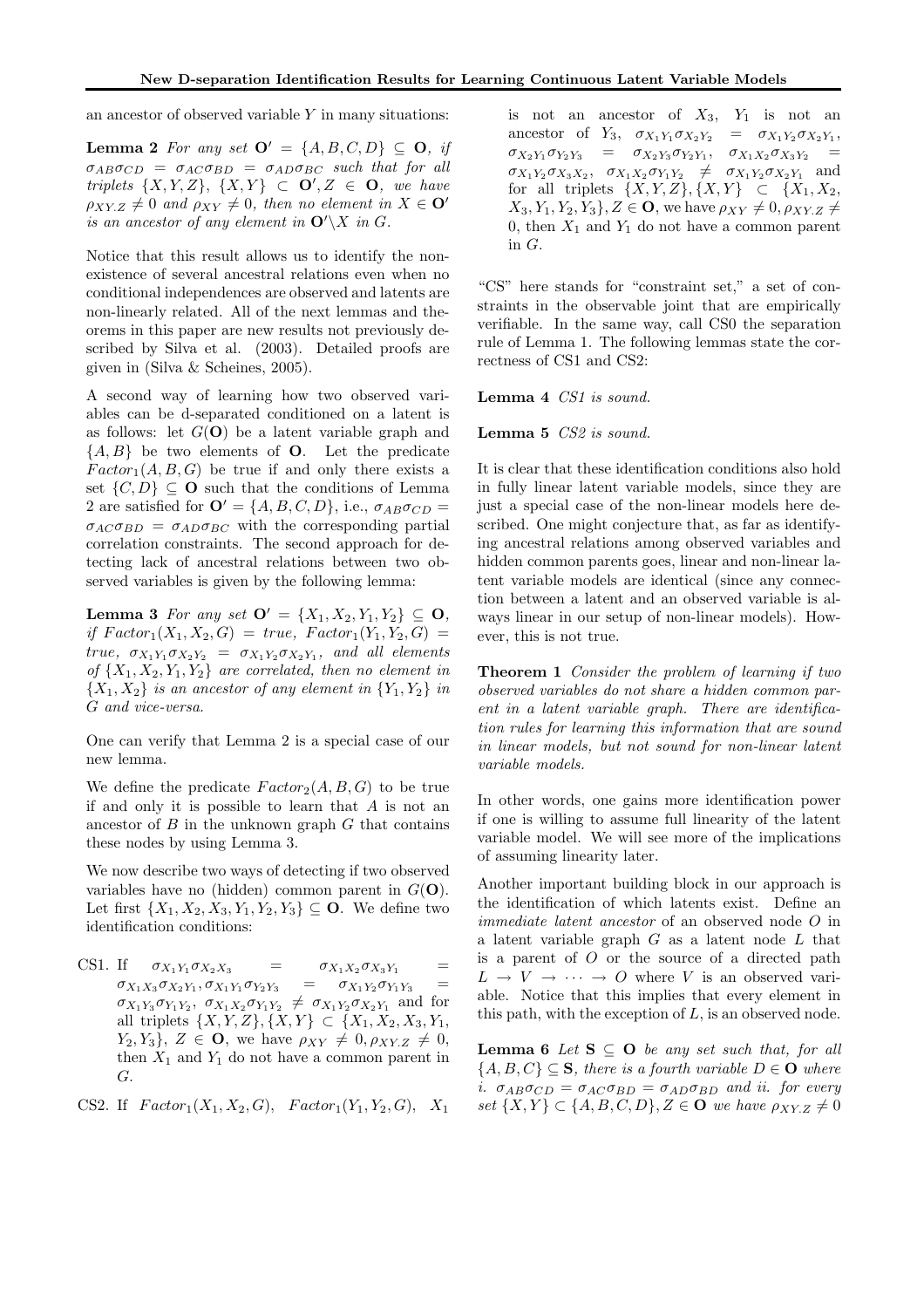an ancestor of observed variable  $Y$  in many situations:

**Lemma 2** For any set  $\mathbf{O}' = \{A, B, C, D\} \subseteq \mathbf{O}$ , if  $\sigma_{AB}\sigma_{CD} = \sigma_{AC}\sigma_{BD} = \sigma_{AD}\sigma_{BC}$  such that for all triplets  $\{X, Y, Z\}$ ,  $\{X, Y\} \subset \mathbf{O}'$ ,  $Z \in \mathbf{O}$ , we have  $\rho_{XY,Z} \neq 0$  and  $\rho_{XY} \neq 0$ , then no element in  $X \in \mathbf{O}'$ is an ancestor of any element in  $\mathbf{O}'\backslash X$  in G.

Notice that this result allows us to identify the nonexistence of several ancestral relations even when no conditional independences are observed and latents are non-linearly related. All of the next lemmas and theorems in this paper are new results not previously described by Silva et al. (2003). Detailed proofs are given in (Silva & Scheines, 2005).

A second way of learning how two observed variables can be d-separated conditioned on a latent is as follows: let  $G(\mathbf{O})$  be a latent variable graph and  ${A, B}$  be two elements of **O**. Let the predicate  $Factor_1(A, B, G)$  be true if and only there exists a set  $\{C, D\} \subseteq \mathbf{O}$  such that the conditions of Lemma 2 are satisfied for  $\mathbf{O}' = \{A, B, C, D\}$ , i.e.,  $\sigma_{AB}\sigma_{CD} =$  $\sigma_{AC} \sigma_{BD} = \sigma_{AD} \sigma_{BC}$  with the corresponding partial correlation constraints. The second approach for detecting lack of ancestral relations between two observed variables is given by the following lemma:

Lemma 3 For any set  $\mathbf{O}' = \{X_1, X_2, Y_1, Y_2\} \subseteq \mathbf{O},$ if  $Factor_1(X_1, X_2, G) = true, Factor_1(Y_1, Y_2, G) =$ true,  $\sigma_{X_1 Y_1} \sigma_{X_2 Y_2} = \sigma_{X_1 Y_2} \sigma_{X_2 Y_1}$ , and all elements of  $\{X_1, X_2, Y_1, Y_2\}$  are correlated, then no element in  ${X_1, X_2}$  is an ancestor of any element in  ${Y_1, Y_2}$  in G and vice-versa.

One can verify that Lemma 2 is a special case of our new lemma.

We define the predicate  $Factor_2(A, B, G)$  to be true if and only it is possible to learn that  $A$  is not an ancestor of  $B$  in the unknown graph  $G$  that contains these nodes by using Lemma 3.

We now describe two ways of detecting if two observed variables have no (hidden) common parent in  $G(\mathbf{O})$ . Let first  $\{X_1, X_2, X_3, Y_1, Y_2, Y_3\} \subseteq \mathbf{O}$ . We define two identification conditions:

CS1. If  $\sigma_{X_1Y_1}\sigma_{X_2X_3}$  =  $\sigma_{X_1X_2}\sigma_{X_3Y_1}$  =  $\sigma_{X_1X_3}\sigma_{X_2Y_1}, \sigma_{X_1Y_1}\sigma_{Y_2Y_3}$  $= \sigma_{X_1 Y_2} \sigma_{Y_1 Y_3}$  $\sigma_{X_1Y_3}\sigma_{Y_1Y_2}, \sigma_{X_1X_2}\sigma_{Y_1Y_2} \neq \sigma_{X_1Y_2}\sigma_{X_2Y_1}$  and for all triplets  $\{X, Y, Z\}, \{X, Y\} \subset \{X_1, X_2, X_3, Y_1,$  $Y_2, Y_3$ ,  $Z \in \mathbf{O}$ , we have  $\rho_{XY} \neq 0, \rho_{XY,Z} \neq 0$ , then  $X_1$  and  $Y_1$  do not have a common parent in G.

```
CS2. If Factor_1(X_1, X_2, G), Factor_1(Y_1, Y_2, G), X_1
```
is not an ancestor of  $X_3$ ,  $Y_1$  is not an ancestor of  $Y_3$ ,  $\sigma_{X_1 Y_1} \sigma_{X_2 Y_2} = \sigma_{X_1 Y_2} \sigma_{X_2 Y_1}$ ,  $\sigma_{X_2Y_1}\sigma_{Y_2Y_3} = \sigma_{X_2Y_3}\sigma_{Y_2Y_1}, \quad \sigma_{X_1X_2}\sigma_{X_3Y_2} =$  $\sigma_{X_1Y_2}\sigma_{X_3X_2}, \quad \sigma_{X_1X_2}\sigma_{Y_1Y_2} \neq \sigma_{X_1Y_2}\sigma_{X_2Y_1}$  and for all triplets  $\{X, Y, Z\}, \{X, Y\} \subset \{X_1, X_2,$  $X_3, Y_1, Y_2, Y_3$ ,  $Z \in \mathbf{O}$ , we have  $\rho_{XY} \neq 0$ ,  $\rho_{XY,Z} \neq 0$ 0, then  $X_1$  and  $Y_1$  do not have a common parent in G.

"CS" here stands for "constraint set," a set of constraints in the observable joint that are empirically verifiable. In the same way, call CS0 the separation rule of Lemma 1. The following lemmas state the correctness of CS1 and CS2:

Lemma 4 CS1 is sound.

Lemma 5 CS2 is sound.

It is clear that these identification conditions also hold in fully linear latent variable models, since they are just a special case of the non-linear models here described. One might conjecture that, as far as identifying ancestral relations among observed variables and hidden common parents goes, linear and non-linear latent variable models are identical (since any connection between a latent and an observed variable is always linear in our setup of non-linear models). However, this is not true.

Theorem 1 Consider the problem of learning if two observed variables do not share a hidden common parent in a latent variable graph. There are identification rules for learning this information that are sound in linear models, but not sound for non-linear latent variable models.

In other words, one gains more identification power if one is willing to assume full linearity of the latent variable model. We will see more of the implications of assuming linearity later.

Another important building block in our approach is the identification of which latents exist. Define an immediate latent ancestor of an observed node O in a latent variable graph  $G$  as a latent node  $L$  that is a parent of  $O$  or the source of a directed path  $L \rightarrow V \rightarrow \cdots \rightarrow O$  where V is an observed variable. Notice that this implies that every element in this path, with the exception of  $L$ , is an observed node.

**Lemma 6** Let  $S \subseteq O$  be any set such that, for all  ${A, B, C} \subseteq S$ , there is a fourth variable  $D \in \mathbf{O}$  where i.  $\sigma_{AB}\sigma_{CD} = \sigma_{AC}\sigma_{BD} = \sigma_{AD}\sigma_{BD}$  and ii. for every set  $\{X, Y\} \subset \{A, B, C, D\}, Z \in \mathbf{O}$  we have  $\rho_{XY,Z} \neq 0$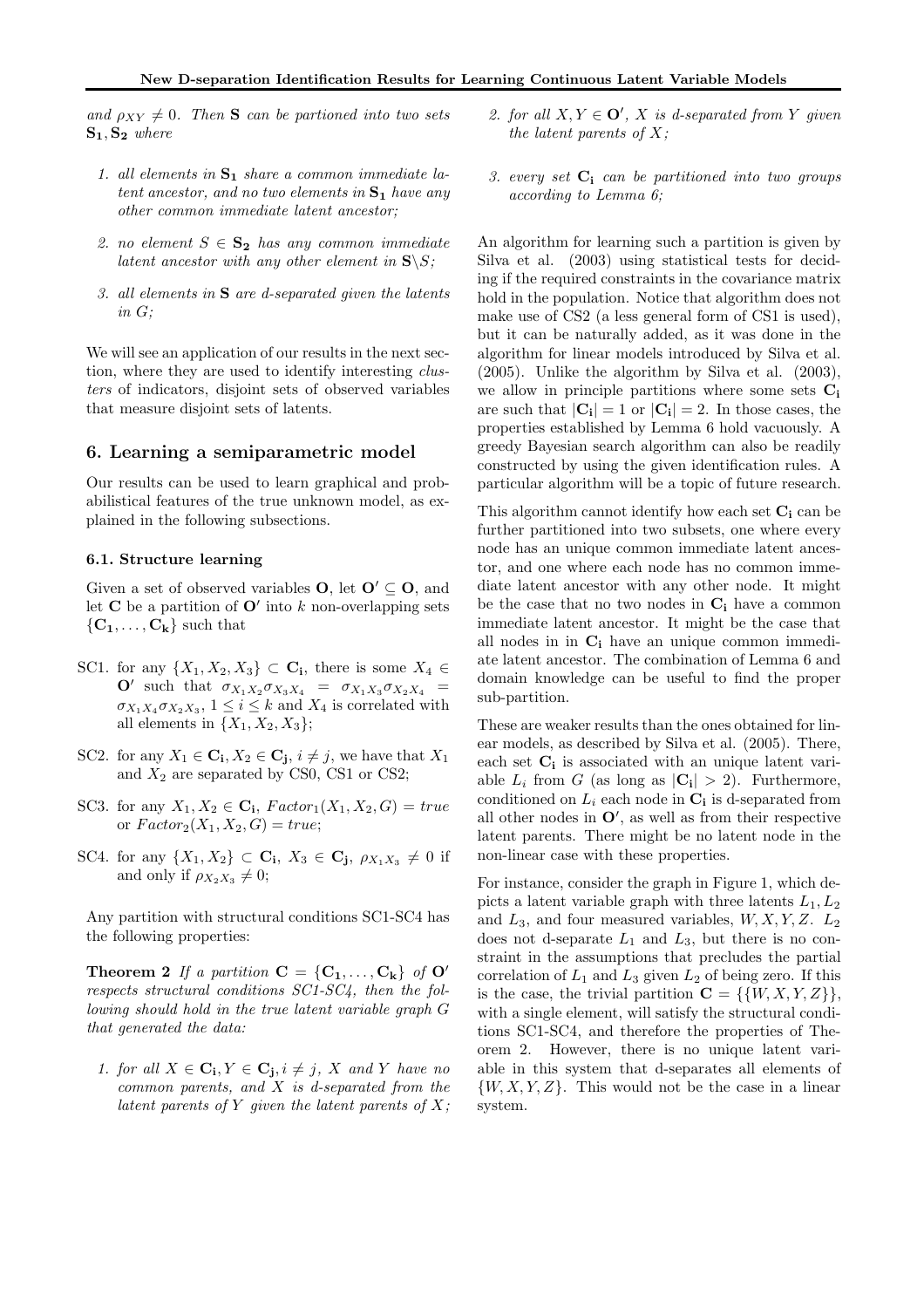and  $\rho_{XY} \neq 0$ . Then **S** can be partioned into two sets  $S_1, S_2$  where

- 1. all elements in  $S_1$  share a common immediate latent ancestor, and no two elements in  $S_1$  have any other common immediate latent ancestor;
- 2. no element  $S \in \mathbf{S_2}$  has any common immediate latent ancestor with any other element in  $S\$ S;
- 3. all elements in S are d-separated given the latents in G;

We will see an application of our results in the next section, where they are used to identify interesting *clus*ters of indicators, disjoint sets of observed variables that measure disjoint sets of latents.

### 6. Learning a semiparametric model

Our results can be used to learn graphical and probabilistical features of the true unknown model, as explained in the following subsections.

#### 6.1. Structure learning

Given a set of observed variables **O**, let  $O' \subseteq O$ , and let **C** be a partition of  $O'$  into k non-overlapping sets  ${C_1, \ldots, C_k}$  such that

- SC1. for any  $\{X_1, X_2, X_3\} \subset \mathbf{C_i}$ , there is some  $X_4 \in$  $\mathbf{O}'$  such that  $\sigma_{X_1 X_2 \sigma_{X_3 X_4}} = \sigma_{X_1 X_3 \sigma_{X_2 X_4}} =$  $\sigma_{X_1 X_4} \sigma_{X_2 X_3}$ ,  $1 \leq i \leq k$  and  $X_4$  is correlated with all elements in  $\{X_1, X_2, X_3\}$ ;
- SC2. for any  $X_1 \in \mathbf{C}_i, X_2 \in \mathbf{C}_j, i \neq j$ , we have that  $X_1$ and  $X_2$  are separated by CS0, CS1 or CS2;
- SC3. for any  $X_1, X_2 \in \mathbf{C_i}$ ,  $Factor_1(X_1, X_2, G) = true$ or  $Factor_2(X_1, X_2, G) = true;$
- SC4. for any  $\{X_1, X_2\} \subset \mathbf{C_i}$ ,  $X_3 \in \mathbf{C_j}$ ,  $\rho_{X_1 X_3} \neq 0$  if and only if  $\rho_{X_2X_3} \neq 0$ ;

Any partition with structural conditions SC1-SC4 has the following properties:

**Theorem 2** If a partition  $C = \{C_1, \ldots, C_k\}$  of  $O'$ respects structural conditions SC1-SC4, then the following should hold in the true latent variable graph G that generated the data:

1. for all  $X \in \mathbf{C_i}, Y \in \mathbf{C_j}, i \neq j$ , X and Y have no common parents, and  $X$  is d-separated from the latent parents of Y given the latent parents of  $X$ ;

- 2. for all  $X, Y \in \mathbf{O}'$ , X is d-separated from Y given the latent parents of  $X$ ;
- 3. every set  $C_i$  can be partitioned into two groups according to Lemma 6;

An algorithm for learning such a partition is given by Silva et al. (2003) using statistical tests for deciding if the required constraints in the covariance matrix hold in the population. Notice that algorithm does not make use of CS2 (a less general form of CS1 is used), but it can be naturally added, as it was done in the algorithm for linear models introduced by Silva et al. (2005). Unlike the algorithm by Silva et al. (2003), we allow in principle partitions where some sets  $C_i$ are such that  $|\mathbf{C_i}| = 1$  or  $|\mathbf{C_i}| = 2$ . In those cases, the properties established by Lemma 6 hold vacuously. A greedy Bayesian search algorithm can also be readily constructed by using the given identification rules. A particular algorithm will be a topic of future research.

This algorithm cannot identify how each set  $C_i$  can be further partitioned into two subsets, one where every node has an unique common immediate latent ancestor, and one where each node has no common immediate latent ancestor with any other node. It might be the case that no two nodes in  $C_i$  have a common immediate latent ancestor. It might be the case that all nodes in in  $C_i$  have an unique common immediate latent ancestor. The combination of Lemma 6 and domain knowledge can be useful to find the proper sub-partition.

These are weaker results than the ones obtained for linear models, as described by Silva et al. (2005). There, each set  $C_i$  is associated with an unique latent variable  $L_i$  from G (as long as  $|\mathbf{C_i}| > 2$ ). Furthermore, conditioned on  $L_i$  each node in  $\mathbf{C_i}$  is d-separated from all other nodes in  $O'$ , as well as from their respective latent parents. There might be no latent node in the non-linear case with these properties.

For instance, consider the graph in Figure 1, which depicts a latent variable graph with three latents  $L_1, L_2$ and  $L_3$ , and four measured variables,  $W, X, Y, Z$ .  $L_2$ does not d-separate  $L_1$  and  $L_3$ , but there is no constraint in the assumptions that precludes the partial correlation of  $L_1$  and  $L_3$  given  $L_2$  of being zero. If this is the case, the trivial partition  $\mathbf{C} = \{ \{W, X, Y, Z\} \},\$ with a single element, will satisfy the structural conditions SC1-SC4, and therefore the properties of Theorem 2. However, there is no unique latent variable in this system that d-separates all elements of  $\{W, X, Y, Z\}$ . This would not be the case in a linear system.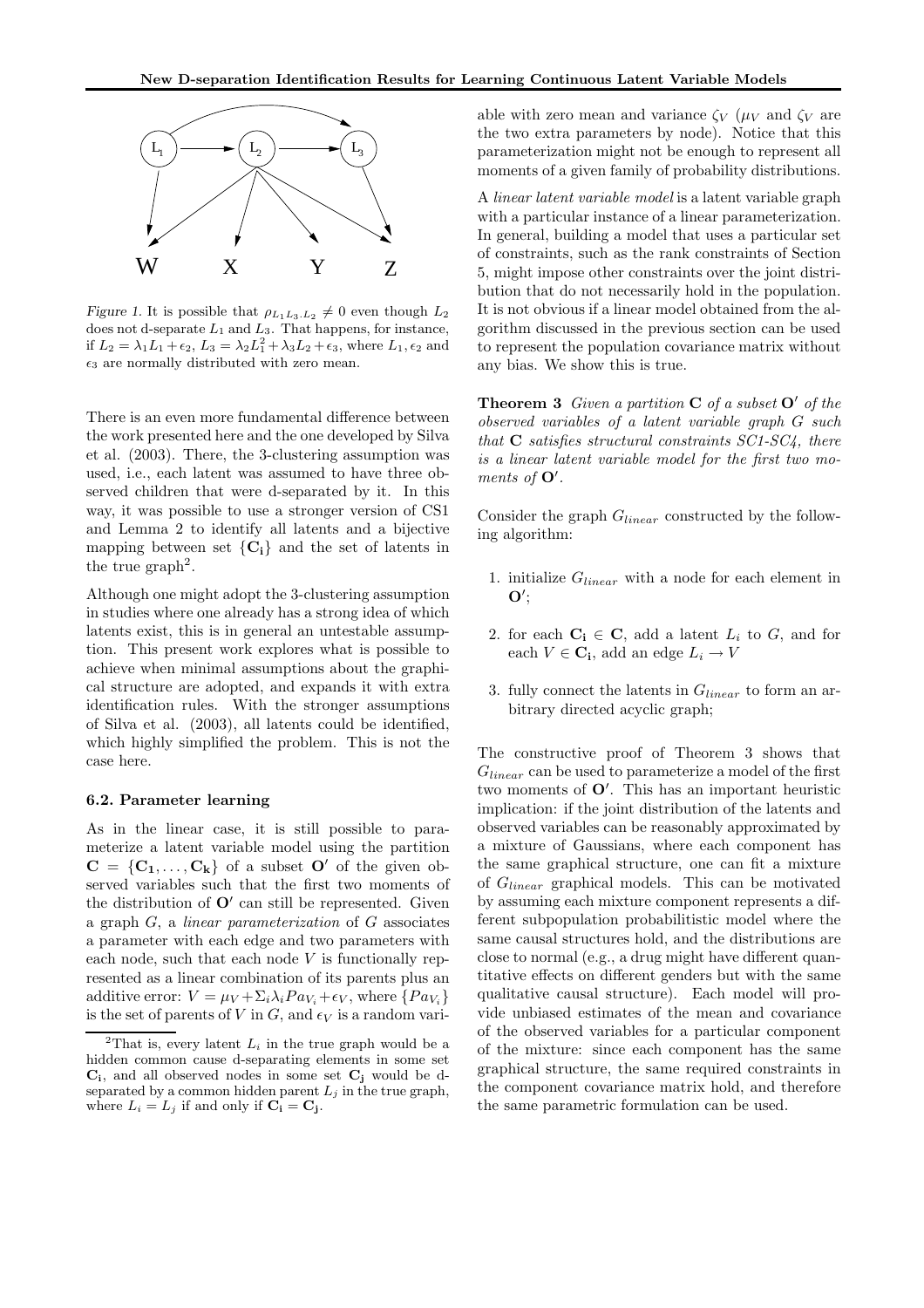

Figure 1. It is possible that  $\rho_{L_1L_3,L_2} \neq 0$  even though  $L_2$ does not d-separate  $L_1$  and  $L_3$ . That happens, for instance, if  $L_2 = \lambda_1 L_1 + \epsilon_2$ ,  $L_3 = \lambda_2 L_1^2 + \lambda_3 L_2 + \epsilon_3$ , where  $L_1, \epsilon_2$  and  $\epsilon_3$  are normally distributed with zero mean.

There is an even more fundamental difference between the work presented here and the one developed by Silva et al. (2003). There, the 3-clustering assumption was used, i.e., each latent was assumed to have three observed children that were d-separated by it. In this way, it was possible to use a stronger version of CS1 and Lemma 2 to identify all latents and a bijective mapping between set  ${C_i}$  and the set of latents in the true  $graph<sup>2</sup>$ .

Although one might adopt the 3-clustering assumption in studies where one already has a strong idea of which latents exist, this is in general an untestable assumption. This present work explores what is possible to achieve when minimal assumptions about the graphical structure are adopted, and expands it with extra identification rules. With the stronger assumptions of Silva et al. (2003), all latents could be identified, which highly simplified the problem. This is not the case here.

#### 6.2. Parameter learning

As in the linear case, it is still possible to parameterize a latent variable model using the partition  $C = \{C_1, \ldots, C_k\}$  of a subset  $O'$  of the given observed variables such that the first two moments of the distribution of  $O'$  can still be represented. Given a graph  $G$ , a *linear parameterization* of  $G$  associates a parameter with each edge and two parameters with each node, such that each node  $V$  is functionally represented as a linear combination of its parents plus an additive error:  $V = \mu_V + \Sigma_i \lambda_i P a_{V_i} + \epsilon_V$ , where  $\{P a_{V_i}\}\$ is the set of parents of V in G, and  $\epsilon_V$  is a random variable with zero mean and variance  $\zeta_V$  ( $\mu_V$  and  $\zeta_V$  are the two extra parameters by node). Notice that this parameterization might not be enough to represent all moments of a given family of probability distributions.

A linear latent variable model is a latent variable graph with a particular instance of a linear parameterization. In general, building a model that uses a particular set of constraints, such as the rank constraints of Section 5, might impose other constraints over the joint distribution that do not necessarily hold in the population. It is not obvious if a linear model obtained from the algorithm discussed in the previous section can be used to represent the population covariance matrix without any bias. We show this is true.

**Theorem 3** Given a partition  $C$  of a subset  $O'$  of the observed variables of a latent variable graph G such that  $C$  satisfies structural constraints  $SC1$ - $SC4$ , there is a linear latent variable model for the first two moments of  $O'$ .

Consider the graph  $G_{linear}$  constructed by the following algorithm:

- 1. initialize  $G_{linear}$  with a node for each element in  $\mathbf{O}'$
- 2. for each  $C_i \in C$ , add a latent  $L_i$  to  $G$ , and for each  $V \in \mathbf{C_i}$ , add an edge  $L_i \to V$
- 3. fully connect the latents in  $G_{linear}$  to form an arbitrary directed acyclic graph;

The constructive proof of Theorem 3 shows that  $G_{linear}$  can be used to parameterize a model of the first two moments of O′ . This has an important heuristic implication: if the joint distribution of the latents and observed variables can be reasonably approximated by a mixture of Gaussians, where each component has the same graphical structure, one can fit a mixture of Glinear graphical models. This can be motivated by assuming each mixture component represents a different subpopulation probabilitistic model where the same causal structures hold, and the distributions are close to normal (e.g., a drug might have different quantitative effects on different genders but with the same qualitative causal structure). Each model will provide unbiased estimates of the mean and covariance of the observed variables for a particular component of the mixture: since each component has the same graphical structure, the same required constraints in the component covariance matrix hold, and therefore the same parametric formulation can be used.

<sup>&</sup>lt;sup>2</sup>That is, every latent  $L_i$  in the true graph would be a hidden common cause d-separating elements in some set  $C_i$ , and all observed nodes in some set  $C_j$  would be dseparated by a common hidden parent  $L_j$  in the true graph, where  $L_i = L_j$  if and only if  $C_i = C_j$ .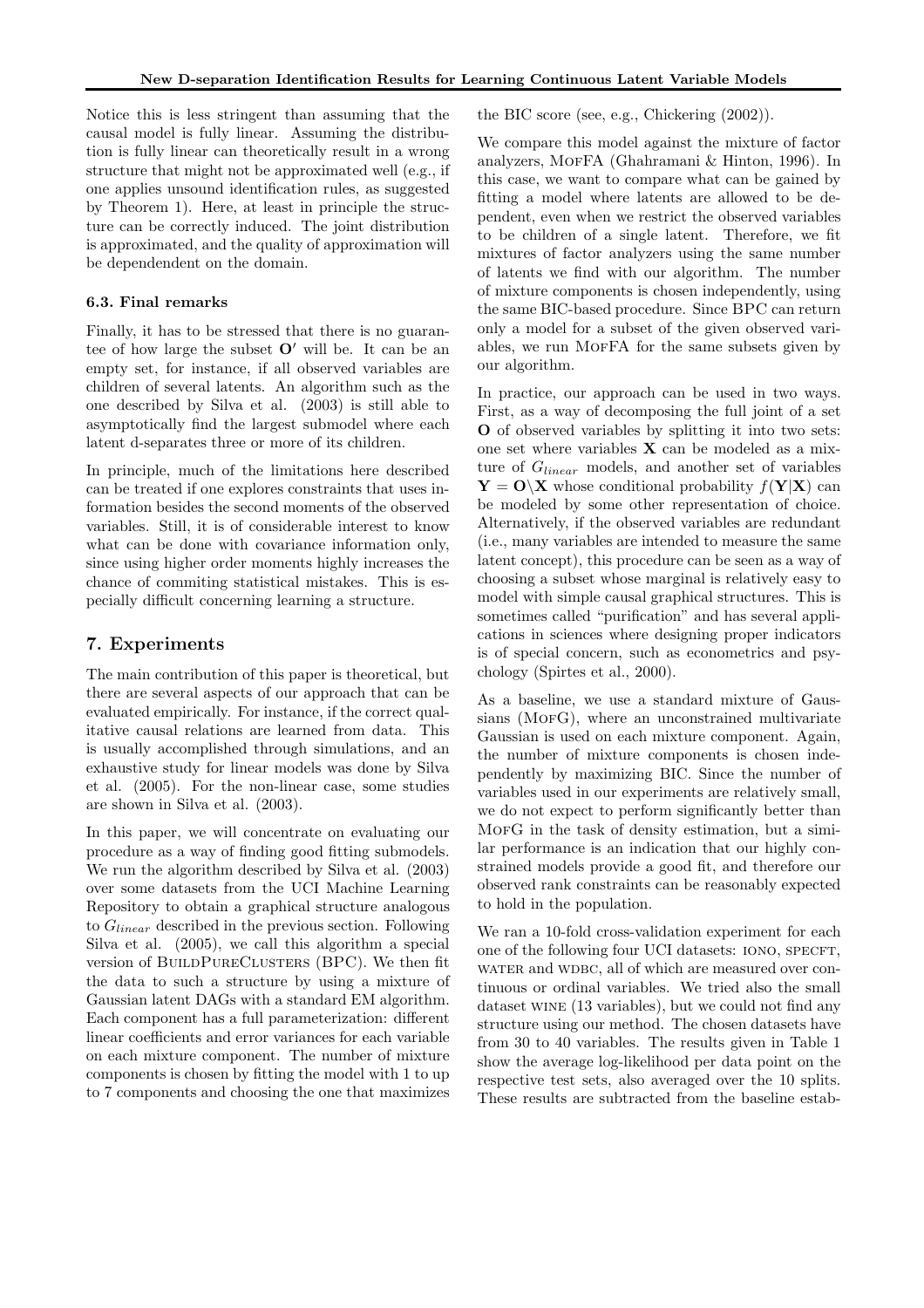Notice this is less stringent than assuming that the causal model is fully linear. Assuming the distribution is fully linear can theoretically result in a wrong structure that might not be approximated well (e.g., if one applies unsound identification rules, as suggested by Theorem 1). Here, at least in principle the structure can be correctly induced. The joint distribution is approximated, and the quality of approximation will be dependendent on the domain.

#### 6.3. Final remarks

Finally, it has to be stressed that there is no guarantee of how large the subset  $O'$  will be. It can be an empty set, for instance, if all observed variables are children of several latents. An algorithm such as the one described by Silva et al. (2003) is still able to asymptotically find the largest submodel where each latent d-separates three or more of its children.

In principle, much of the limitations here described can be treated if one explores constraints that uses information besides the second moments of the observed variables. Still, it is of considerable interest to know what can be done with covariance information only, since using higher order moments highly increases the chance of commiting statistical mistakes. This is especially difficult concerning learning a structure.

# 7. Experiments

The main contribution of this paper is theoretical, but there are several aspects of our approach that can be evaluated empirically. For instance, if the correct qualitative causal relations are learned from data. This is usually accomplished through simulations, and an exhaustive study for linear models was done by Silva et al. (2005). For the non-linear case, some studies are shown in Silva et al. (2003).

In this paper, we will concentrate on evaluating our procedure as a way of finding good fitting submodels. We run the algorithm described by Silva et al. (2003) over some datasets from the UCI Machine Learning Repository to obtain a graphical structure analogous to  $G_{linear}$  described in the previous section. Following Silva et al. (2005), we call this algorithm a special version of BUILDPURECLUSTERS (BPC). We then fit the data to such a structure by using a mixture of Gaussian latent DAGs with a standard EM algorithm. Each component has a full parameterization: different linear coefficients and error variances for each variable on each mixture component. The number of mixture components is chosen by fitting the model with 1 to up to 7 components and choosing the one that maximizes the BIC score (see, e.g., Chickering (2002)).

We compare this model against the mixture of factor analyzers, MofFA (Ghahramani & Hinton, 1996). In this case, we want to compare what can be gained by fitting a model where latents are allowed to be dependent, even when we restrict the observed variables to be children of a single latent. Therefore, we fit mixtures of factor analyzers using the same number of latents we find with our algorithm. The number of mixture components is chosen independently, using the same BIC-based procedure. Since BPC can return only a model for a subset of the given observed variables, we run MOFFA for the same subsets given by our algorithm.

In practice, our approach can be used in two ways. First, as a way of decomposing the full joint of a set O of observed variables by splitting it into two sets: one set where variables  $X$  can be modeled as a mixture of  $G_{linear}$  models, and another set of variables  $Y = O(X)$  whose conditional probability  $f(Y|X)$  can be modeled by some other representation of choice. Alternatively, if the observed variables are redundant (i.e., many variables are intended to measure the same latent concept), this procedure can be seen as a way of choosing a subset whose marginal is relatively easy to model with simple causal graphical structures. This is sometimes called "purification" and has several applications in sciences where designing proper indicators is of special concern, such as econometrics and psychology (Spirtes et al., 2000).

As a baseline, we use a standard mixture of Gaussians (MOFG), where an unconstrained multivariate Gaussian is used on each mixture component. Again, the number of mixture components is chosen independently by maximizing BIC. Since the number of variables used in our experiments are relatively small, we do not expect to perform significantly better than MorG in the task of density estimation, but a similar performance is an indication that our highly constrained models provide a good fit, and therefore our observed rank constraints can be reasonably expected to hold in the population.

We ran a 10-fold cross-validation experiment for each one of the following four UCI datasets: IONO, SPECFT, water and wdbc, all of which are measured over continuous or ordinal variables. We tried also the small dataset wine (13 variables), but we could not find any structure using our method. The chosen datasets have from 30 to 40 variables. The results given in Table 1 show the average log-likelihood per data point on the respective test sets, also averaged over the 10 splits. These results are subtracted from the baseline estab-